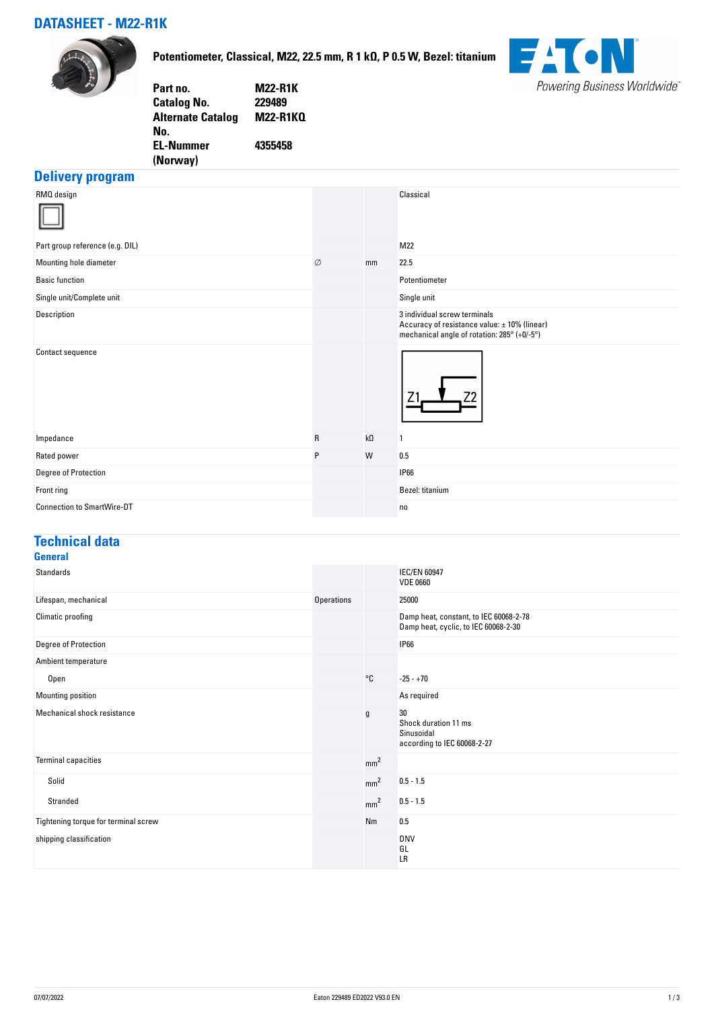## **DATASHEET - M22-R1K**



**Potentiometer, Classical, M22, 22.5 mm, R 1 kΩ, P 0.5 W, Bezel: titanium**



| Part no.                 | <b>M22-R1K</b> |
|--------------------------|----------------|
| <b>Catalog No.</b>       | 229489         |
| <b>Alternate Catalog</b> | M22-R1KQ       |
| No.                      |                |
| <b>EL-Nummer</b>         | 4355458        |
| (Norway)                 |                |
|                          |                |

## **Delivery program**

|              |           | Classical                                                                                                                   |
|--------------|-----------|-----------------------------------------------------------------------------------------------------------------------------|
|              |           | M22                                                                                                                         |
| Ø            | mm        | 22.5                                                                                                                        |
|              |           | Potentiometer                                                                                                               |
|              |           | Single unit                                                                                                                 |
|              |           | 3 individual screw terminals<br>Accuracy of resistance value: ± 10% (linear)<br>mechanical angle of rotation: 285° (+0/-5°) |
|              |           |                                                                                                                             |
| $\mathsf{R}$ | $k\Omega$ | $\overline{1}$                                                                                                              |
| P            | W         | 0.5                                                                                                                         |
|              |           | <b>IP66</b>                                                                                                                 |
|              |           | Bezel: titanium                                                                                                             |
|              |           | no                                                                                                                          |
|              |           |                                                                                                                             |

### **Technical data**

| <b>General</b>                       |                   |                 |                                                                                |
|--------------------------------------|-------------------|-----------------|--------------------------------------------------------------------------------|
| Standards                            |                   |                 | <b>IEC/EN 60947</b><br><b>VDE 0660</b>                                         |
| Lifespan, mechanical                 | <b>Operations</b> |                 | 25000                                                                          |
| Climatic proofing                    |                   |                 | Damp heat, constant, to IEC 60068-2-78<br>Damp heat, cyclic, to IEC 60068-2-30 |
| <b>Degree of Protection</b>          |                   |                 | <b>IP66</b>                                                                    |
| Ambient temperature                  |                   |                 |                                                                                |
| Open                                 |                   | °C              | $-25 - +70$                                                                    |
| Mounting position                    |                   |                 | As required                                                                    |
| Mechanical shock resistance          |                   | $\mathfrak g$   | 30<br>Shock duration 11 ms<br>Sinusoidal<br>according to IEC 60068-2-27        |
| <b>Terminal capacities</b>           |                   | mm <sup>2</sup> |                                                                                |
| Solid                                |                   | mm <sup>2</sup> | $0.5 - 1.5$                                                                    |
| Stranded                             |                   | mm <sup>2</sup> | $0.5 - 1.5$                                                                    |
| Tightening torque for terminal screw |                   | Nm              | 0.5                                                                            |
| shipping classification              |                   |                 | <b>DNV</b><br>GL<br>LR                                                         |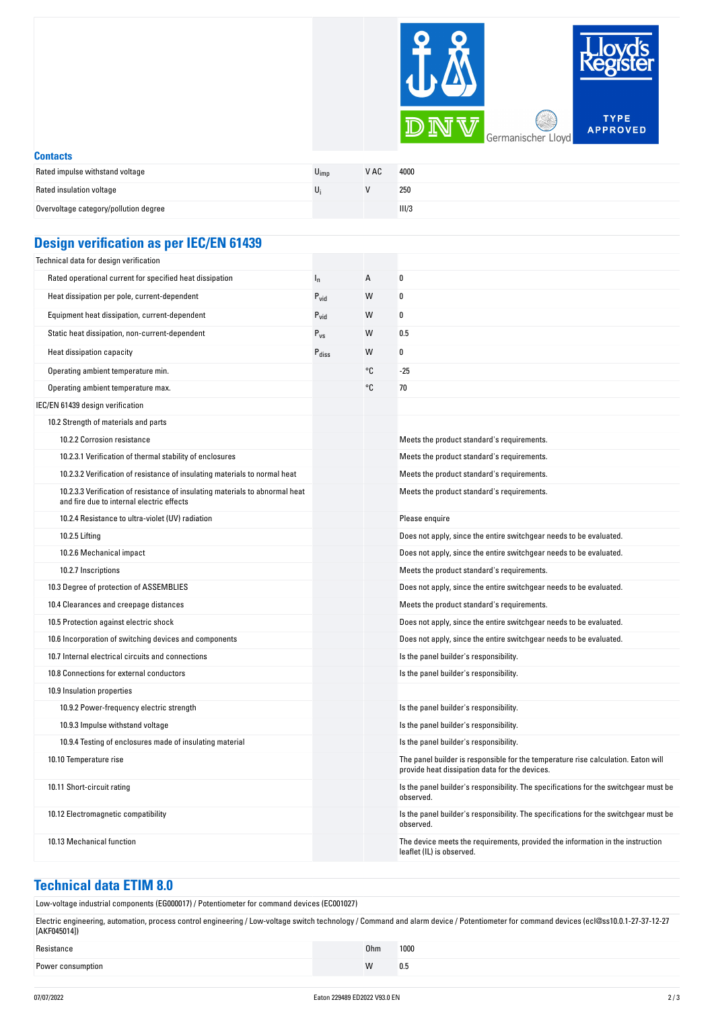

| <b>Contacts</b>                       |      |      |       |  |
|---------------------------------------|------|------|-------|--|
| Rated impulse withstand voltage       | Vimp | V AC | 4000  |  |
| Rated insulation voltage              |      |      | 250   |  |
| Overvoltage category/pollution degree |      |      | III/3 |  |

#### **Design verification as per IEC/EN 61439**

| Technical data for design verification                                                                                    |                   |                |                                                                                                                                     |
|---------------------------------------------------------------------------------------------------------------------------|-------------------|----------------|-------------------------------------------------------------------------------------------------------------------------------------|
| Rated operational current for specified heat dissipation                                                                  | $I_n$             | $\overline{A}$ | 0                                                                                                                                   |
| Heat dissipation per pole, current-dependent                                                                              | $P_{vid}$         | W              | 0                                                                                                                                   |
| Equipment heat dissipation, current-dependent                                                                             | $P_{vid}$         | W              | 0                                                                                                                                   |
| Static heat dissipation, non-current-dependent                                                                            | $P_{VS}$          | W              | 0.5                                                                                                                                 |
| Heat dissipation capacity                                                                                                 | $P_{\text{diss}}$ | W              | 0                                                                                                                                   |
| Operating ambient temperature min.                                                                                        |                   | °C             | $-25$                                                                                                                               |
| Operating ambient temperature max.                                                                                        |                   | °C             | 70                                                                                                                                  |
| IEC/EN 61439 design verification                                                                                          |                   |                |                                                                                                                                     |
| 10.2 Strength of materials and parts                                                                                      |                   |                |                                                                                                                                     |
| 10.2.2 Corrosion resistance                                                                                               |                   |                | Meets the product standard's requirements.                                                                                          |
| 10.2.3.1 Verification of thermal stability of enclosures                                                                  |                   |                | Meets the product standard's requirements.                                                                                          |
| 10.2.3.2 Verification of resistance of insulating materials to normal heat                                                |                   |                | Meets the product standard's requirements.                                                                                          |
| 10.2.3.3 Verification of resistance of insulating materials to abnormal heat<br>and fire due to internal electric effects |                   |                | Meets the product standard's requirements.                                                                                          |
| 10.2.4 Resistance to ultra-violet (UV) radiation                                                                          |                   |                | Please enquire                                                                                                                      |
| 10.2.5 Lifting                                                                                                            |                   |                | Does not apply, since the entire switchgear needs to be evaluated.                                                                  |
| 10.2.6 Mechanical impact                                                                                                  |                   |                | Does not apply, since the entire switchgear needs to be evaluated.                                                                  |
| 10.2.7 Inscriptions                                                                                                       |                   |                | Meets the product standard's requirements.                                                                                          |
| 10.3 Degree of protection of ASSEMBLIES                                                                                   |                   |                | Does not apply, since the entire switchgear needs to be evaluated.                                                                  |
| 10.4 Clearances and creepage distances                                                                                    |                   |                | Meets the product standard's requirements.                                                                                          |
| 10.5 Protection against electric shock                                                                                    |                   |                | Does not apply, since the entire switchgear needs to be evaluated.                                                                  |
| 10.6 Incorporation of switching devices and components                                                                    |                   |                | Does not apply, since the entire switchgear needs to be evaluated.                                                                  |
| 10.7 Internal electrical circuits and connections                                                                         |                   |                | Is the panel builder's responsibility.                                                                                              |
| 10.8 Connections for external conductors                                                                                  |                   |                | Is the panel builder's responsibility.                                                                                              |
| 10.9 Insulation properties                                                                                                |                   |                |                                                                                                                                     |
| 10.9.2 Power-frequency electric strength                                                                                  |                   |                | Is the panel builder's responsibility.                                                                                              |
| 10.9.3 Impulse withstand voltage                                                                                          |                   |                | Is the panel builder's responsibility.                                                                                              |
| 10.9.4 Testing of enclosures made of insulating material                                                                  |                   |                | Is the panel builder's responsibility.                                                                                              |
| 10.10 Temperature rise                                                                                                    |                   |                | The panel builder is responsible for the temperature rise calculation. Eaton will<br>provide heat dissipation data for the devices. |
| 10.11 Short-circuit rating                                                                                                |                   |                | Is the panel builder's responsibility. The specifications for the switchgear must be<br>observed.                                   |
| 10.12 Electromagnetic compatibility                                                                                       |                   |                | Is the panel builder's responsibility. The specifications for the switchgear must be<br>observed.                                   |
| 10.13 Mechanical function                                                                                                 |                   |                | The device meets the requirements, provided the information in the instruction<br>leaflet (IL) is observed.                         |

#### **Technical data ETIM 8.0**

Low-voltage industrial components (EG000017) / Potentiometer for command devices (EC001027)

Electric engineering, automation, process control engineering / Low-voltage switch technology / Command and alarm device / Potentiometer for command devices (ecl@ss10.0.1-27-37-12-27 [AKF045014])

| Resistance        | 0 <sub>hm</sub> | 1000 |
|-------------------|-----------------|------|
| Power consumption | w               | 0.5  |